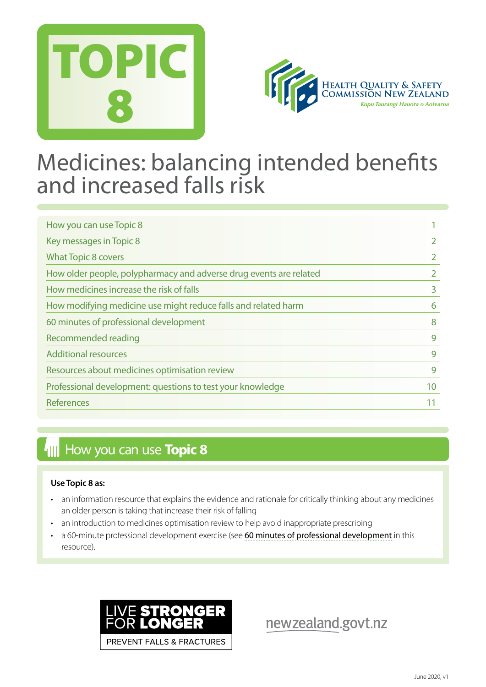



## Medicines: balancing intended benefits and increased falls risk

| How you can use Topic 8                                            |    |
|--------------------------------------------------------------------|----|
| Key messages in Topic 8                                            |    |
| <b>What Topic 8 covers</b>                                         |    |
| How older people, polypharmacy and adverse drug events are related |    |
| How medicines increase the risk of falls                           | 3  |
| How modifying medicine use might reduce falls and related harm     | 6  |
| 60 minutes of professional development                             | 8  |
| Recommended reading                                                | 9  |
| <b>Additional resources</b>                                        | 9  |
| Resources about medicines optimisation review                      | 9  |
| Professional development: questions to test your knowledge         | 10 |
| <b>References</b>                                                  |    |

## **How you can use Topic 8**

## **Use Topic 8 as:**

- an information resource that explains the evidence and rationale for critically thinking about any medicines an older person is taking that increase their risk of falling
- an introduction to medicines optimisation review to help avoid inappropriate prescribing
- a 60-minute professional development exercise (see [60 minutes of professional development](#page-7-0) in this resource).



newzealand.govt.nz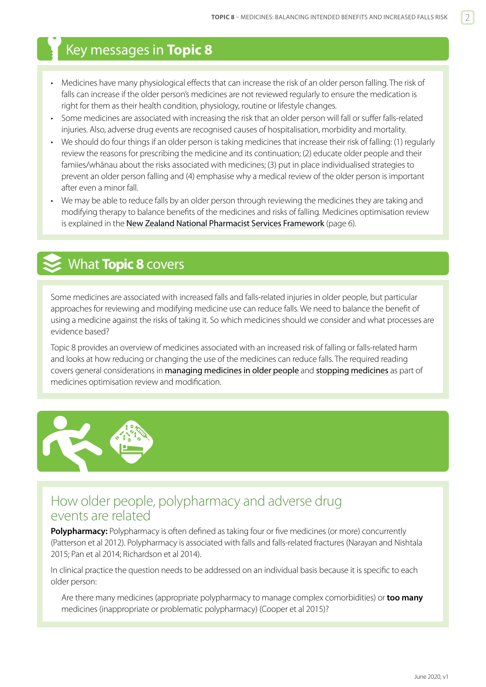## <span id="page-1-0"></span>Key messages in **Topic 8**

- Medicines have many physiological effects that can increase the risk of an older person falling. The risk of falls can increase if the older person's medicines are not reviewed regularly to ensure the medication is right for them as their health condition, physiology, routine or lifestyle changes.
- Some medicines are associated with increasing the risk that an older person will fall or suffer falls-related injuries. Also, adverse drug events are recognised causes of hospitalisation, morbidity and mortality.
- We should do four things if an older person is taking medicines that increase their risk of falling: (1) regularly review the reasons for prescribing the medicine and its continuation; (2) educate older people and their famiies/whānau about the risks associated with medicines; (3) put in place individualised strategies to prevent an older person falling and (4) emphasise why a medical review of the older person is important after even a minor fall.
- We may be able to reduce falls by an older person through reviewing the medicines they are taking and modifying therapy to balance benefits of the medicines and risks of falling. Medicines optimisation review is explained in the [New Zealand National Pharmacist Services Framework](https://www.psnz.org.nz/Folder?Action=View%20File&Folder_id=86&File=PSNZPharmacistServicesFramework2014FINAL.pdf) (page 6).

## What **Topic 8** covers

Some medicines are associated with increased falls and falls-related injuries in older people, but particular approaches for reviewing and modifying medicine use can reduce falls. We need to balance the benefit of using a medicine against the risks of taking it. So which medicines should we consider and what processes are evidence based?

Topic 8 provides an overview of medicines associated with an increased risk of falling or falls-related harm and looks at how reducing or changing the use of the medicines can reduce falls. The required reading covers general considerations in **[managing medicines in older people](http://www.bpac.org.nz/BPJ/2012/october/elderlyMedicines.aspx)** and **[stopping medicines](https://bpac.org.nz/2018/stopping.aspx)** as part of medicines optimisation review and modification.



## How older people, polypharmacy and adverse drug events are related

**Polypharmacy:** Polypharmacy is often defined as taking four or five medicines (or more) concurrently (Patterson et al 2012). Polypharmacy is associated with falls and falls-related fractures (Narayan and Nishtala 2015; Pan et al 2014; Richardson et al 2014).

In clinical practice the question needs to be addressed on an individual basis because it is specific to each older person:

Are there many medicines (appropriate polypharmacy to manage complex comorbidities) or **too many** medicines (inappropriate or problematic polypharmacy) (Cooper et al 2015)?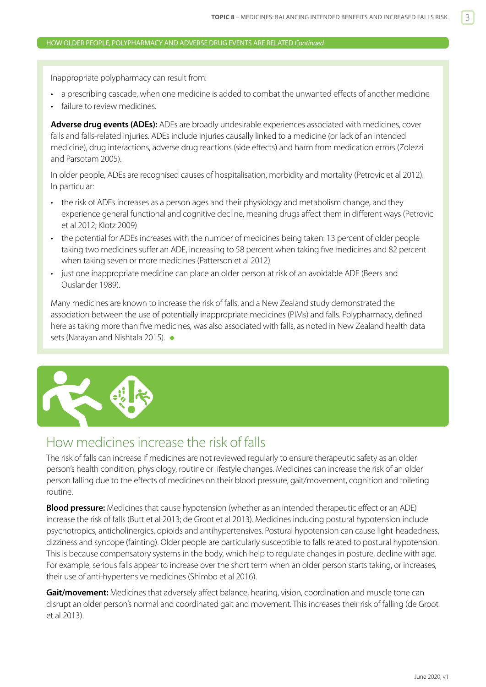## <span id="page-2-0"></span>HOW OLDER PEOPLE, POLYPHARMACY AND ADVERSE DRUG EVENTS ARE RELATED *Continued*

Inappropriate polypharmacy can result from:

- a prescribing cascade, when one medicine is added to combat the unwanted effects of another medicine
- failure to review medicines.

**Adverse drug events (ADEs):** ADEs are broadly undesirable experiences associated with medicines, cover falls and falls-related injuries. ADEs include injuries causally linked to a medicine (or lack of an intended medicine), drug interactions, adverse drug reactions (side effects) and harm from medication errors (Zolezzi and Parsotam 2005).

In older people, ADEs are recognised causes of hospitalisation, morbidity and mortality (Petrovic et al 2012). In particular:

- the risk of ADEs increases as a person ages and their physiology and metabolism change, and they experience general functional and cognitive decline, meaning drugs affect them in different ways (Petrovic et al 2012; Klotz 2009)
- the potential for ADEs increases with the number of medicines being taken: 13 percent of older people taking two medicines suffer an ADE, increasing to 58 percent when taking five medicines and 82 percent when taking seven or more medicines (Patterson et al 2012)
- just one inappropriate medicine can place an older person at risk of an avoidable ADE (Beers and Ouslander 1989).

Many medicines are known to increase the risk of falls, and a New Zealand study demonstrated the association between the use of potentially inappropriate medicines (PIMs) and falls. Polypharmacy, defined here as taking more than five medicines, was also associated with falls, as noted in New Zealand health data sets (Narayan and Nishtala 2015).  $\bullet$ 



## How medicines increase the risk of falls

The risk of falls can increase if medicines are not reviewed regularly to ensure therapeutic safety as an older person's health condition, physiology, routine or lifestyle changes. Medicines can increase the risk of an older person falling due to the effects of medicines on their blood pressure, gait/movement, cognition and toileting routine.

**Blood pressure:** Medicines that cause hypotension (whether as an intended therapeutic effect or an ADE) increase the risk of falls (Butt et al 2013; de Groot et al 2013). Medicines inducing postural hypotension include psychotropics, anticholinergics, opioids and antihypertensives. Postural hypotension can cause light-headedness, dizziness and syncope (fainting). Older people are particularly susceptible to falls related to postural hypotension. This is because compensatory systems in the body, which help to regulate changes in posture, decline with age. For example, serious falls appear to increase over the short term when an older person starts taking, or increases, their use of anti-hypertensive medicines (Shimbo et al 2016).

**Gait/movement:** Medicines that adversely affect balance, hearing, vision, coordination and muscle tone can disrupt an older person's normal and coordinated gait and movement. This increases their risk of falling (de Groot et al 2013).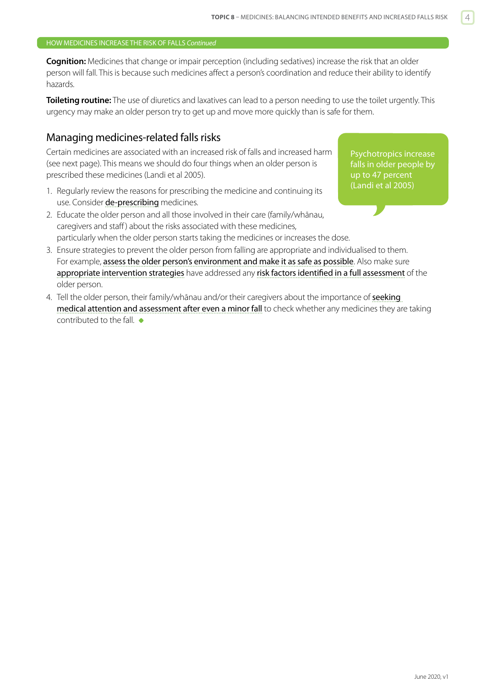## HOW MEDICINES INCREASE THE RISK OF FALLS *Continued*

**Cognition:** Medicines that change or impair perception (including sedatives) increase the risk that an older person will fall. This is because such medicines affect a person's coordination and reduce their ability to identify hazards.

**Toileting routine:** The use of diuretics and laxatives can lead to a person needing to use the toilet urgently. This urgency may make an older person try to get up and move more quickly than is safe for them.

## Managing medicines-related falls risks

Certain medicines are associated with an increased risk of falls and increased harm (see next page). This means we should do four things when an older person is prescribed these medicines (Landi et al 2005).

- 1. Regularly review the reasons for prescribing the medicine and continuing its use. Consider [de-prescribing](https://bpac.org.nz/2018/stopping.aspx) medicines.
- 2. Educate the older person and all those involved in their care (family/whānau, caregivers and staff ) about the risks associated with these medicines, particularly when the older person starts taking the medicines or increases the dose.

Psychotropics increase falls in older people by up to 47 percent (Landi et al 2005)

- 3. Ensure strategies to prevent the older person from falling are appropriate and individualised to them. For example, [assess the older person's environment and make it as safe as possible](https://www.hqsc.govt.nz/our-programmes/reducing-harm-from-falls/publications-and-resources/publication/2875). Also make sure [appropriate intervention strategies](https://www.hqsc.govt.nz/our-programmes/reducing-harm-from-falls/publications-and-resources/publication/2891) have addressed any [risk factors identified in a full assessment](https://www.hqsc.govt.nz/our-programmes/reducing-harm-from-falls/publications-and-resources/publication/2874) of the older person.
- 4. Tell the older person, their family/whānau and/or their caregivers about the importance of seeking [medical attention and assessment after even a minor fall](https://www.hqsc.govt.nz/our-programmes/reducing-harm-from-falls/publications-and-resources/publication/2876) to check whether any medicines they are taking contributed to the fall.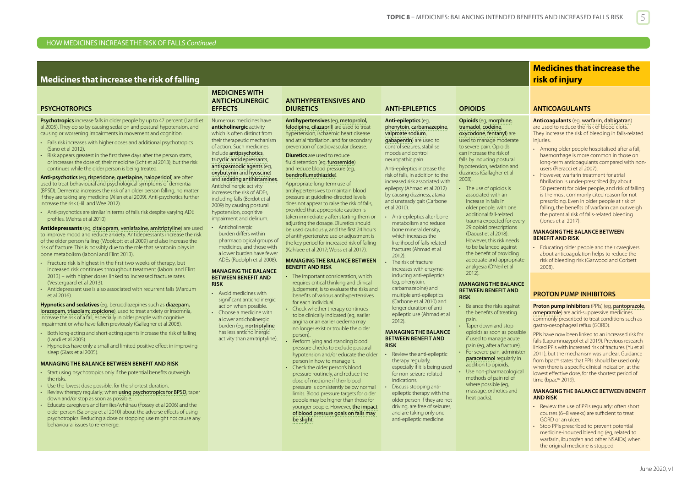## HOW MEDICINES INCREASE THE RISK OF FALLS *Continued*

## **Medicines that increase the risk of falling**

### **PSYCHOTROPICS**

**Psychotropics** increase falls in older people by up to 47 percent (Landi et al 2005). They do so by causing sedation and postural hypotension, and causing or worsening impairments in movement and cognition.

- Falls risk increases with higher doses and additional psychotropics (Sano et al 2012).
- Risk appears greatest in the first three days after the person starts, or increases the dose of, their medicine (Echt et al 2013), but the risk continues while the older person is being treated.

**Anti-psychotics** (eg, [risperidone](http://www.nzf.org.nz/nzf_2179,nzf_2205.html), [quetiapine](http://www.nzf.org.nz/nzf_2176.html), [haloperidol](http://www.nzf.org.nz/nzf_2131.html)) are often used to treat behavioural and psychological symptoms of dementia (BPSD). Dementia increases the risk of an older person falling, no matter if they are taking any medicine (Allan et al 2009). Anti-psychotics further increase the risk (Hill and Wee 2012).

• Anti-psychotics are similar in terms of falls risk despite varying ADE profiles. (Mehta et al 2010)

**Antidepressants** (eg, [citalopram](http://www.nzf.org.nz/nzf_2295.html), [venlafaxine](http://www.nzf.org.nz/nzf_2321.html), [amitriptyline](http://www.nzf.org.nz/nzf_2246.html)) are used to improve mood and reduce anxiety. Antidepressants increase the risk of the older person falling (Woolcott et al 2009) and also increase the risk of fracture. This is possibly due to the role that serotonin plays in bone metabolism (Iaboni and Flint 2013).

- Fracture risk is highest in the first two weeks of therapy, but increased risk continues throughout treatment (Iaboni and Flint 2013) – with higher doses linked to increased fracture rates (Vestergaard et al 2013).
- Antidepressant use is also associated with recurrent falls (Marcum et al 2016).

**Hypnotics and sedatives** (eg, benzodiazepines such as [diazepam](http://www.nzf.org.nz/nzf_2063.html), [lorazepam,](http://www.nzf.org.nz/nzf_6953.html) [triazolam](http://www.nzf.org.nz/nzf_2020.html); [zopiclone](http://www.nzf.org.nz/nzf_2027.html)), used to treat anxiety or insomnia, increase the risk of a fall, especially in older people with cognitive impairment or who have fallen previously (Gallagher et al 2008).

- Both long-acting and short-acting agents increase the risk of falling (Landi et al 2005).
- Hypnotics have only a small and limited positive effect in improving sleep (Glass et al 2005).

### **MANAGING THE BALANCE BETWEEN BENEFIT AND RISK**

- Start using psychotropics only if the potential benefits outweigh the risks.
- Use the lowest dose possible, for the shortest duration.
- Review therapy regularly; when [using psychotropics for BPSD](http://www.bpac.org.nz/a4d/resources/guide/guide.asp), taper down and/or stop as soon as possible.
- Educate caregivers and families/whānau (Fossey et al 2006) and the older person (Salonoja et al 2010) about the adverse effects of using psychotropics. Reducing a dose or stopping use might not cause any behavioural issues to re-emerge.

### **MEDICINES WITH ANTICHOLINERGIC EFFECTS**

### Numerous medicines have **anticholinergic** activity which is often distinct from their therapeutic mechanism of action. Such medicines include [antipsychotics](http://www.nzf.org.nz/nzf_2098.html),

[tricyclic antidepressants](http://www.nzf.org.nz/nzf_2232.html), [antispasmodic agents](http://www.nzf.org.nz/nzf_702.html) (eg, [oxybutynin](http://www.nzf.org.nz/nzf_4303.html) and [hyoscine](http://www.nzf.org.nz/nzf_713.html)) and [sedating antihistamines](http://www.nzf.org.nz/nzf_1856.html). Anticholinergic activity increases the risk of ADEs, including falls (Berdot et al 2009) by causing postural hypotension, cognitive impairment and delirium.

**Anticholinergic** burden differs within pharmacological groups of medicines, and those with a lower burden have fewer ADEs (Rudolph et al 2008).

### **MANAGING THE BALANCE BETWEEN BENEFIT AND**

**RISK** • Avoid medicines with significant anticholinergic action when possible. • Choose a medicine with a lower anticholinergic

burden (eg, [nortriptyline](http://www.nzf.org.nz/nzf_2260.html) has less anticholinergic activity than amitriptyline).

- angina or an earlier oedema may no longer exist or trouble the older person).
	- Perform lying and standing blood pressure checks to exclude postural hypotension and/or educate the older person in how to manage it. • Check the older person's blood
		- pressure routinely, and reduce the dose of medicine if their blood pressure is consistently below normal limits. Blood pressure targets for older people may be higher than those for younger people. However, [the impact](http://annals.org/aim/article/2598413/pharmacologic-treatment-hypertension-adults-aged-60-years-older-higher-versus)  [of blood pressure goals on falls may](http://annals.org/aim/article/2598413/pharmacologic-treatment-hypertension-adults-aged-60-years-older-higher-versus)  [be slight](http://annals.org/aim/article/2598413/pharmacologic-treatment-hypertension-adults-aged-60-years-older-higher-versus).

## **DIURETICS ANTI-EPILEPTICS OPIOIDS ANTICOAGULANTS**

### **Anti-epileptics** (eg, [phenytoin](http://www.nzf.org.nz/nzf_2726.html), [carbamazepine](http://www.nzf.org.nz/nzf_2615.html), [valproate sodium](http://www.nzf.org.nz/nzf_2214.html), [gabapentin](http://www.nzf.org.nz/nzf_2629.html)) are used to control seizures, stabilise moods and control neuropathic pain.

Anti-epileptics increase the risk of falls, in addition to the increased risk associated with epilepsy (Ahmad et al 2012) by causing dizziness, ataxia and unsteady gait (Carbone et al 2010).

• Anti-epileptics alter bone metabolism and reduce bone mineral density, which increases the likelihood of falls-related fractures (Ahmad et al 2012). • The risk of fracture increases with enzymeinducing anti-epileptics (eg, phenytoin, carbamazepine) and multiple anti-epileptics (Carbone et al 2010) and

longer duration of antiepileptic use (Ahmad et al 2012).

### **MANAGING THE BALANCE BETWEEN BENEFIT AND RISK**

- Review the anti-epileptic therapy regularly, especially if it is being used for non-seizure-related
- indications. • Discuss stopping antiepileptic therapy with the older person if they are not driving, are free of seizures, and are taking only one anti-epileptic medicine.

### **Opioids** (eg, [morphine](http://www.nzf.org.nz/nzf_2515.html), [tramadol](http://www.nzf.org.nz/nzf_2544.html), [codeine](http://www.nzf.org.nz/nzf_2477,nzf_9654,nzf_9656.html), [oxycodone](http://www.nzf.org.nz/nzf_2526.html), [fentanyl](http://www.nzf.org.nz/nzf_2495,nzf_6973.html)) are used to manage moderate to severe pain. Opioids can increase the risk of

falls by inducing postural hypotension, sedation and dizziness (Gallagher et al 2008).

• The use of opioids is associated with an increase in falls in older people, with one additional fall-related trauma expected for every 29 opioid prescriptions (Daoust et al 2018). However, this risk needs to be balanced against the benefit of providing adequate and appropriate analgesia (O'Neil et al 2012).

### **MANAGING THE BALANCE BETWEEN BENEFIT AND RISK**

- Balance the risks against the benefits of treating pain.
- Taper down and stop opioids as soon as possible if used to manage acute pain (eg, after a fracture).
- For severe pain, administer [paracetamol](http://www.nzf.org.nz/nzf_2439.html) regularly in
- addition to opioids. Use non-pharmacological methods of pain relief where possible (eg, massage, orthotics and heat packs).

## **Medicines that increase the risk of injury**

### **Anticoagulants** (eg, [warfarin](http://www.nzf.org.nz/nzf_1493.html), dabigatran) are used to reduce the risk of blood clots. They increase the risk of bleeding in falls-related injuries.

- Among older people hospitalised after a fall, haemorrhage is more common in those on long-term anticoagulants compared with nonusers (Pieracci et al 2007).
- However, warfarin treatment for atrial fibrillation is under-prescribed (by about 50 percent) for older people, and risk of falling is the most commonly cited reason for not prescribing. Even in older people at risk of falling, the benefits of warfarin can outweigh the potential risk of falls-related bleeding (Jones et al 2017).

### **MANAGING THE BALANCE BETWEEN BENEFIT AND RISK**

• Educating older people and their caregivers about anticoagulation helps to reduce the risk of bleeding risk (Garwood and Corbett 2008).

### **PROTON PUMP INHIBITORS**

**Proton pump inhibitors** (PPIs) (eg, [pantoprazole](http://www.nzf.org.nz/nzf_774.html), [omeprazole](http://www.nzf.org.nz/nzf_771.html)) are acid-suppressive medicines commonly prescribed to treat conditions such as gastro-oesophageal reflux (GORD).

PPIs have now been linked to an increased risk for falls (Lapumnuaypol et al 2019). Previous research linked PPIs with increased risk of fractures (Yu et al 2011), but the mechanism was unclear. Guidance from bpac<sup>nz</sup> states that PPIs should be used only when there is a specific clinical indication, at the lowest effective dose, for the shortest period of time (bpac<sup>nz</sup> 2019).

### **MANAGING THE BALANCE BETWEEN BENEFIT AND RISK**

- Review the use of PPIs regularly: often short courses (6–8 weeks) are sufficient to treat GORD or an ulcer.
- Stop PPIs prescribed to prevent potential medicine-induced bleeding (eg, related to warfarin, ibuprofen and other NSAIDs) when the original medicine is stopped.

Appropriate long-term use of antihypertensives to maintain blood pressure at guideline-directed levels does not appear to raise the risk of falls, provided that appropriate caution is taken immediately after starting them or adjusting the dosage. Diuretics should be used cautiously, and the first 24 hours of antihypertensive use or adjustment is the key period for increased risk of falling

**ANTIHYPERTENSIVES AND** 

**Antihypertensives** (eg, [metoprolol,](http://www.nzf.org.nz/nzf_1145.html) [felodipine,](http://www.nzf.org.nz/nzf_1352.html) [cilazapril](http://www.nzf.org.nz/nzf_1262.html)) are used to treat hypertension, ischaemic heart disease and atrial fibrillation, and for secondary prevention of cardiovascular disease. **Diuretics** are used to reduce fluid retention (eg. **[furosemide](http://www.nzf.org.nz/nzf_1032.html)**) and reduce blood pressure (eg, [bendroflumethiazide](http://www.nzf.org.nz/nzf_1006.html)).

### **MANAGING THE BALANCE BETWEEN BENEFIT AND RISK** The important consideration, which

requires critical thinking and clinical judgement, is to evaluate the risks and benefits of various antihypertensives

• Check whether therapy continues to be clinically indicated (eg, earlier

for each individual.

(Kahlaee et al 2017; Weiss et al 2017).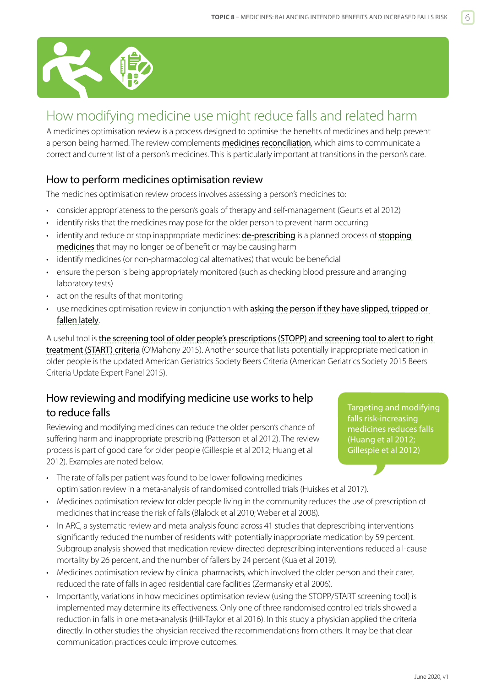<span id="page-5-0"></span>

## How modifying medicine use might reduce falls and related harm

A medicines optimisation review is a process designed to optimise the benefits of medicines and help prevent a person being harmed. The review complements [medicines reconciliation](http://www.hqsc.govt.nz/our-programmes/medication-safety/projects/medicine-reconciliation/), which aims to communicate a correct and current list of a person's medicines. This is particularly important at transitions in the person's care.

## How to perform medicines optimisation review

The medicines optimisation review process involves assessing a person's medicines to:

- consider appropriateness to the person's goals of therapy and self-management (Geurts et al 2012)
- identify risks that the medicines may pose for the older person to prevent harm occurring
- identify and reduce or stop inappropriate medicines: **[de-prescribing](http://deprescribing.org)** is a planned process of **stopping** [medicines](https://bpac.org.nz/2018/stopping.aspx) that may no longer be of benefit or may be causing harm
- identify medicines (or non-pharmacological alternatives) that would be beneficial
- ensure the person is being appropriately monitored (such as checking blood pressure and arranging laboratory tests)
- act on the results of that monitoring
- use medicines optimisation review in conjunction with asking the person if they have slipped, tripped or [fallen lately](https://www.hqsc.govt.nz/our-programmes/reducing-harm-from-falls/publications-and-resources/publication/2873/).

A useful tool is [the screening tool of older people's prescriptions \(STOPP\) and screening tool to alert to right](https://www.ncbi.nlm.nih.gov/pmc/articles/PMC4339726/)  [treatment \(START\) criteria](https://www.ncbi.nlm.nih.gov/pmc/articles/PMC4339726/) (O'Mahony 2015). Another source that lists potentially inappropriate medication in older people is the updated American Geriatrics Society Beers Criteria (American Geriatrics Society 2015 Beers Criteria Update Expert Panel 2015).

## How reviewing and modifying medicine use works to help to reduce falls

Reviewing and modifying medicines can reduce the older person's chance of suffering harm and inappropriate prescribing (Patterson et al 2012). The review process is part of good care for older people (Gillespie et al 2012; Huang et al 2012). Examples are noted below.

Targeting and modifying falls risk-increasing medicines reduces falls (Huang et al 2012; Gillespie et al 2012)

- The rate of falls per patient was found to be lower following medicines optimisation review in a meta-analysis of randomised controlled trials (Huiskes et al 2017).
- Medicines optimisation review for older people living in the community reduces the use of prescription of medicines that increase the risk of falls (Blalock et al 2010; Weber et al 2008).
- In ARC, a systematic review and meta-analysis found across 41 studies that deprescribing interventions significantly reduced the number of residents with potentially inappropriate medication by 59 percent. Subgroup analysis showed that medication review-directed deprescribing interventions reduced all-cause mortality by 26 percent, and the number of fallers by 24 percent (Kua et al 2019).
- Medicines optimisation review by clinical pharmacists, which involved the older person and their carer, reduced the rate of falls in aged residential care facilities (Zermansky et al 2006).
- Importantly, variations in how medicines optimisation review (using the STOPP/START screening tool) is implemented may determine its effectiveness. Only one of three randomised controlled trials showed a reduction in falls in one meta-analysis (Hill-Taylor et al 2016). In this study a physician applied the criteria directly. In other studies the physician received the recommendations from others. It may be that clear communication practices could improve outcomes.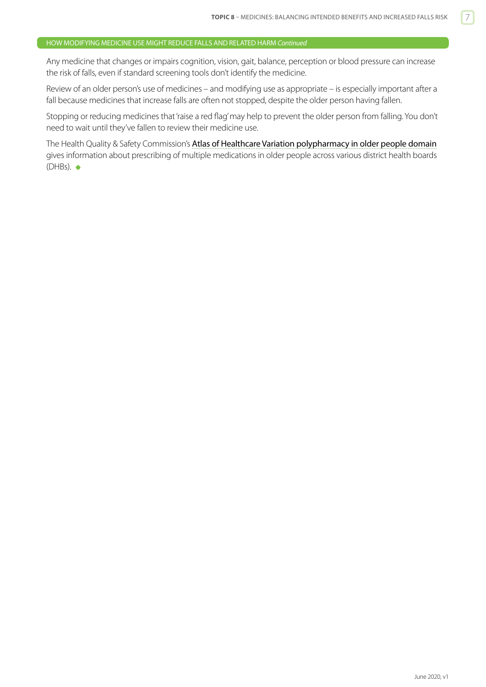## HOW MODIFYING MEDICINE USE MIGHT REDUCE FALLS AND RELATED HARM *Continued*

Any medicine that changes or impairs cognition, vision, gait, balance, perception or blood pressure can increase the risk of falls, even if standard screening tools don't identify the medicine.

Review of an older person's use of medicines – and modifying use as appropriate – is especially important after a fall because medicines that increase falls are often not stopped, despite the older person having fallen.

Stopping or reducing medicines that 'raise a red flag' may help to prevent the older person from falling. You don't need to wait until they've fallen to review their medicine use.

The Health Quality & Safety Commission's [Atlas of Healthcare Variation polypharmacy](https://www.hqsc.govt.nz/our-programmes/health-quality-evaluation/projects/atlas-of-healthcare-variation/polypharmacy-in-older-people/) in older people domain gives information about prescribing of multiple medications in older people across various district health boards  $(DHBs)$ .  $\bullet$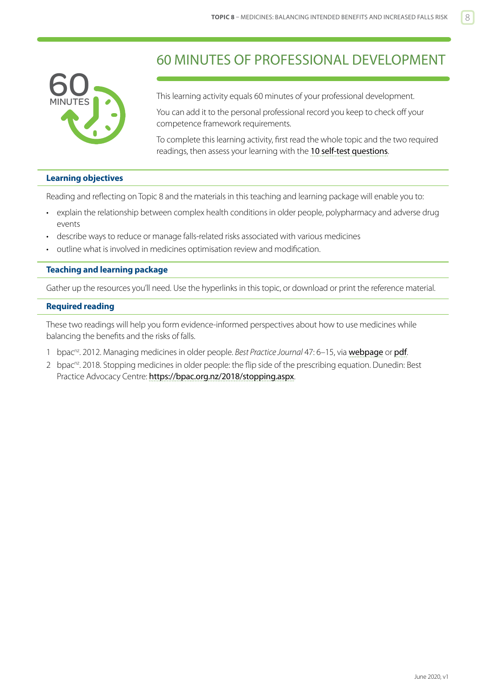<span id="page-7-0"></span>

## 60 MINUTES OF PROFESSIONAL DEVELOPMENT

This learning activity equals 60 minutes of your professional development.

You can add it to the personal professional record you keep to check off your competence framework requirements.

To complete this learning activity, first read the whole topic and the two required readings, then assess your learning with the [10 self-test questions](#page-9-0).

## **Learning objectives**

Reading and reflecting on Topic 8 and the materials in this teaching and learning package will enable you to:

- explain the relationship between complex health conditions in older people, polypharmacy and adverse drug events
- describe ways to reduce or manage falls-related risks associated with various medicines
- outline what is involved in medicines optimisation review and modification.

## **Teaching and learning package**

Gather up the resources you'll need. Use the hyperlinks in this topic, or download or print the reference material.

## **Required reading**

These two readings will help you form evidence-informed perspectives about how to use medicines while balancing the benefits and the risks of falls.

- 1 bpac<sup>nz</sup>. 2012. Managing medicines in older people. *Best Practice Journal* 47: 6–15, via [webpage](http://www.bpac.org.nz/BPJ/2012/october/elderlyMedicines.aspx) or [pdf](http://www.bpac.org.nz/BPJ/2012/October/docs/bpj_47_oct2012.pdf).
- 2 bpac<sup>nz</sup>. 2018. Stopping medicines in older people: the flip side of the prescribing equation. Dunedin: Best Practice Advocacy Centre: <https://bpac.org.nz/2018/stopping.aspx>.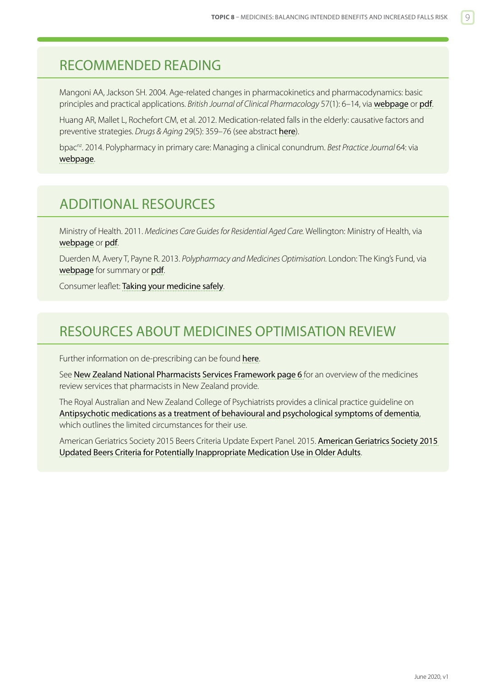## <span id="page-8-0"></span>RECOMMENDED READING

Mangoni AA, Jackson SH. 2004. Age-related changes in pharmacokinetics and pharmacodynamics: basic principles and practical applications. *British Journal of Clinical Pharmacology* 57(1): 6–14, via [webpage](https://www.ncbi.nlm.nih.gov/pmc/articles/PMC1884408/) or [pdf](https://www.ncbi.nlm.nih.gov/pmc/articles/PMC1884408/pdf/bcp0057-0006.pdf).

Huang AR, Mallet L, Rochefort CM, et al. 2012. Medication-related falls in the elderly: causative factors and preventive strategies. *Drugs & Aging* 29(5): 359–76 (see abstract [here](https://www.ncbi.nlm.nih.gov/pubmed/22550966)).

bpac<sup>nz</sup>. 2014. Polypharmacy in primary care: Managing a clinical conundrum. *Best Practice Journal* 64: via [webpage](http://www.bpac.org.nz/BPJ/2014/October/polypharmacy.aspx).

## ADDITIONAL RESOURCES

Ministry of Health. 2011. *Medicines Care Guides for Residential Aged Care.* Wellington: Ministry of Health, via [webpage](http://www.health.govt.nz/publication/medicines-care-guides-residential-aged-care) or [pdf](http://www.health.govt.nz/system/files/documents/publications/medicines-care-guides-for-residential-aged-care-may11.pdf).

Duerden M, Avery T, Payne R. 2013. *Polypharmacy and Medicines Optimisation.* London: The King's Fund, via [webpage](https://www.kingsfund.org.uk/publications/polypharmacy-and-medicines-optimisation) for summary or [pdf](https://www.kingsfund.org.uk/sites/files/kf/field/field_publication_file/polypharmacy-and-medicines-optimisation-kingsfund-nov13.pdf).

Consumer leaflet: [Taking your medicine safely](http://www.hqsc.govt.nz/assets/Medication-Safety/Other-PR/brochure-Taking-Your-Medicine-Safely-WEB.pdf).

## RESOURCES ABOUT MEDICINES OPTIMISATION REVIEW

Further information on de-prescribing can be found [here](https://www.nps.org.au/australian-prescriber/articles/deprescribing).

See [New Zealand National Pharmacists Services Framework](https://www.psnz.org.nz/Folder?Action=View%20File&Folder_id=86&File=PSNZPharmacistServicesFramework2014FINAL.pdf) page 6 for an overview of the medicines review services that pharmacists in New Zealand provide.

The Royal Australian and New Zealand College of Psychiatrists provides a clinical practice guideline on [Antipsychotic medications as a treatment of behavioural and psychological symptoms of dementia](https://www.ranzcp.org/files/resources/college_statements/practice_guidelines/pg10-pdf.aspx), which outlines the limited circumstances for their use.

American Geriatrics Society 2015 Beers Criteria Update Expert Panel. 2015. [American Geriatrics Society 2015](http://onlinelibrary.wiley.com/doi/10.1111/jgs.13702/epdf)  [Updated Beers Criteria for Potentially Inappropriate Medication Use in Older Adults](http://onlinelibrary.wiley.com/doi/10.1111/jgs.13702/epdf).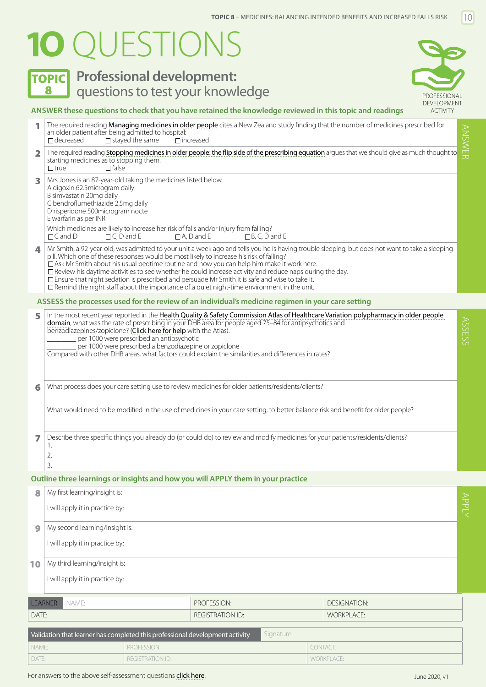# <span id="page-9-0"></span>**1O** QUESTIONS

**TOPIC** Professional development:



## **ANSWER these questions to check that you have retained the knowledge reviewed in this topic and readings**

<sup>1</sup> The required reading [Managing medicines in older people](http://www.bpac.org.nz/BPJ/2012/october/elderlyMedicines.aspx) cites a New Zealand study finding that the number of medicines prescribed for

|                                                                                            | an older patient after being admitted to hospital:<br>$\Box$ decreased                                                                                                                                                         | $\Box$ stayed the same                                                                                                                           | The required reading <b>Managing medicines in older people</b> cites a New Zealand study midnig that the number of medicines prescribed for<br>$\Box$ increased                                                                                                                                                                                                                                                                                                                                                                                                                                                                                                           |                   |                     | <b>ANSWER</b> |  |  |
|--------------------------------------------------------------------------------------------|--------------------------------------------------------------------------------------------------------------------------------------------------------------------------------------------------------------------------------|--------------------------------------------------------------------------------------------------------------------------------------------------|---------------------------------------------------------------------------------------------------------------------------------------------------------------------------------------------------------------------------------------------------------------------------------------------------------------------------------------------------------------------------------------------------------------------------------------------------------------------------------------------------------------------------------------------------------------------------------------------------------------------------------------------------------------------------|-------------------|---------------------|---------------|--|--|
| 2                                                                                          | starting medicines as to stopping them.<br>$\Box$ false<br>$\Box$ true                                                                                                                                                         | The required reading Stopping medicines in older people: the flip side of the prescribing equation argues that we should give as much thought to |                                                                                                                                                                                                                                                                                                                                                                                                                                                                                                                                                                                                                                                                           |                   |                     |               |  |  |
| 3                                                                                          | Mrs Jones is an 87-year-old taking the medicines listed below.<br>A digoxin 62.5 microgram daily<br>B simvastatin 20mg daily<br>C bendroflumethiazide 2.5mg daily<br>D risperidone 500microgram nocte<br>E warfarin as per INR |                                                                                                                                                  |                                                                                                                                                                                                                                                                                                                                                                                                                                                                                                                                                                                                                                                                           |                   |                     |               |  |  |
|                                                                                            | $\Box$ C, D and E<br>$\sqcap$ C and $\Box$                                                                                                                                                                                     |                                                                                                                                                  | Which medicines are likely to increase her risk of falls and/or injury from falling?<br>$\Box$ A, D and E<br>$\Box$ B, C, D and E                                                                                                                                                                                                                                                                                                                                                                                                                                                                                                                                         |                   |                     |               |  |  |
| 4                                                                                          |                                                                                                                                                                                                                                |                                                                                                                                                  | Mr Smith, a 92-year-old, was admitted to your unit a week ago and tells you he is having trouble sleeping, but does not want to take a sleeping<br>pill. Which one of these responses would be most likely to increase his risk of falling?<br>□ Ask Mr Smith about his usual bedtime routine and how you can help him make it work here.<br>$\Box$ Review his daytime activities to see whether he could increase activity and reduce naps during the day.<br>$\Box$ Ensure that night sedation is prescribed and persuade Mr Smith it is safe and wise to take it.<br>$\Box$ Remind the night staff about the importance of a quiet night-time environment in the unit. |                   |                     |               |  |  |
|                                                                                            |                                                                                                                                                                                                                                |                                                                                                                                                  | ASSESS the processes used for the review of an individual's medicine regimen in your care setting                                                                                                                                                                                                                                                                                                                                                                                                                                                                                                                                                                         |                   |                     |               |  |  |
| 5                                                                                          | benzodiazepines/zopiclone? (Click here for help with the Atlas).                                                                                                                                                               | per 1000 were prescribed an antipsychotic<br>per 1000 were prescribed a benzodiazepine or zopiclone                                              | In the most recent year reported in the Health Quality & Safety Commission Atlas of Healthcare Variation polypharmacy in older people<br>domain, what was the rate of prescribing in your DHB area for people aged 75-84 for antipsychotics and<br>Compared with other DHB areas, what factors could explain the similarities and differences in rates?                                                                                                                                                                                                                                                                                                                   |                   |                     | <b>ASSESS</b> |  |  |
| 6                                                                                          | What process does your care setting use to review medicines for older patients/residents/clients?                                                                                                                              |                                                                                                                                                  |                                                                                                                                                                                                                                                                                                                                                                                                                                                                                                                                                                                                                                                                           |                   |                     |               |  |  |
|                                                                                            | What would need to be modified in the use of medicines in your care setting, to better balance risk and benefit for older people?                                                                                              |                                                                                                                                                  |                                                                                                                                                                                                                                                                                                                                                                                                                                                                                                                                                                                                                                                                           |                   |                     |               |  |  |
| 7                                                                                          | Describe three specific things you already do (or could do) to review and modify medicines for your patients/residents/clients?<br>1.<br>2.<br>3.                                                                              |                                                                                                                                                  |                                                                                                                                                                                                                                                                                                                                                                                                                                                                                                                                                                                                                                                                           |                   |                     |               |  |  |
|                                                                                            |                                                                                                                                                                                                                                |                                                                                                                                                  | Outline three learnings or insights and how you will APPLY them in your practice                                                                                                                                                                                                                                                                                                                                                                                                                                                                                                                                                                                          |                   |                     |               |  |  |
|                                                                                            | My first learning/insight is:                                                                                                                                                                                                  |                                                                                                                                                  |                                                                                                                                                                                                                                                                                                                                                                                                                                                                                                                                                                                                                                                                           |                   |                     |               |  |  |
|                                                                                            | I will apply it in practice by:                                                                                                                                                                                                |                                                                                                                                                  |                                                                                                                                                                                                                                                                                                                                                                                                                                                                                                                                                                                                                                                                           |                   |                     | <b>APPLY</b>  |  |  |
| 9                                                                                          | My second learning/insight is:                                                                                                                                                                                                 |                                                                                                                                                  |                                                                                                                                                                                                                                                                                                                                                                                                                                                                                                                                                                                                                                                                           |                   |                     |               |  |  |
|                                                                                            | I will apply it in practice by:                                                                                                                                                                                                |                                                                                                                                                  |                                                                                                                                                                                                                                                                                                                                                                                                                                                                                                                                                                                                                                                                           |                   |                     |               |  |  |
| 10                                                                                         | My third learning/insight is:                                                                                                                                                                                                  |                                                                                                                                                  |                                                                                                                                                                                                                                                                                                                                                                                                                                                                                                                                                                                                                                                                           |                   |                     |               |  |  |
|                                                                                            | I will apply it in practice by:                                                                                                                                                                                                |                                                                                                                                                  |                                                                                                                                                                                                                                                                                                                                                                                                                                                                                                                                                                                                                                                                           |                   |                     |               |  |  |
| LEARNER                                                                                    | NAME:                                                                                                                                                                                                                          |                                                                                                                                                  | PROFESSION:                                                                                                                                                                                                                                                                                                                                                                                                                                                                                                                                                                                                                                                               |                   | <b>DESIGNATION:</b> |               |  |  |
| DATE:                                                                                      |                                                                                                                                                                                                                                |                                                                                                                                                  | <b>REGISTRATION ID:</b>                                                                                                                                                                                                                                                                                                                                                                                                                                                                                                                                                                                                                                                   | <b>WORKPLACE:</b> |                     |               |  |  |
| Signature:<br>Validation that learner has completed this professional development activity |                                                                                                                                                                                                                                |                                                                                                                                                  |                                                                                                                                                                                                                                                                                                                                                                                                                                                                                                                                                                                                                                                                           |                   |                     |               |  |  |
| NAME:                                                                                      |                                                                                                                                                                                                                                | PROFESSION:                                                                                                                                      |                                                                                                                                                                                                                                                                                                                                                                                                                                                                                                                                                                                                                                                                           | CONTACT:          |                     |               |  |  |
| DATE:                                                                                      |                                                                                                                                                                                                                                | <b>REGISTRATION ID:</b>                                                                                                                          |                                                                                                                                                                                                                                                                                                                                                                                                                                                                                                                                                                                                                                                                           | <b>WORKPLACE:</b> |                     |               |  |  |